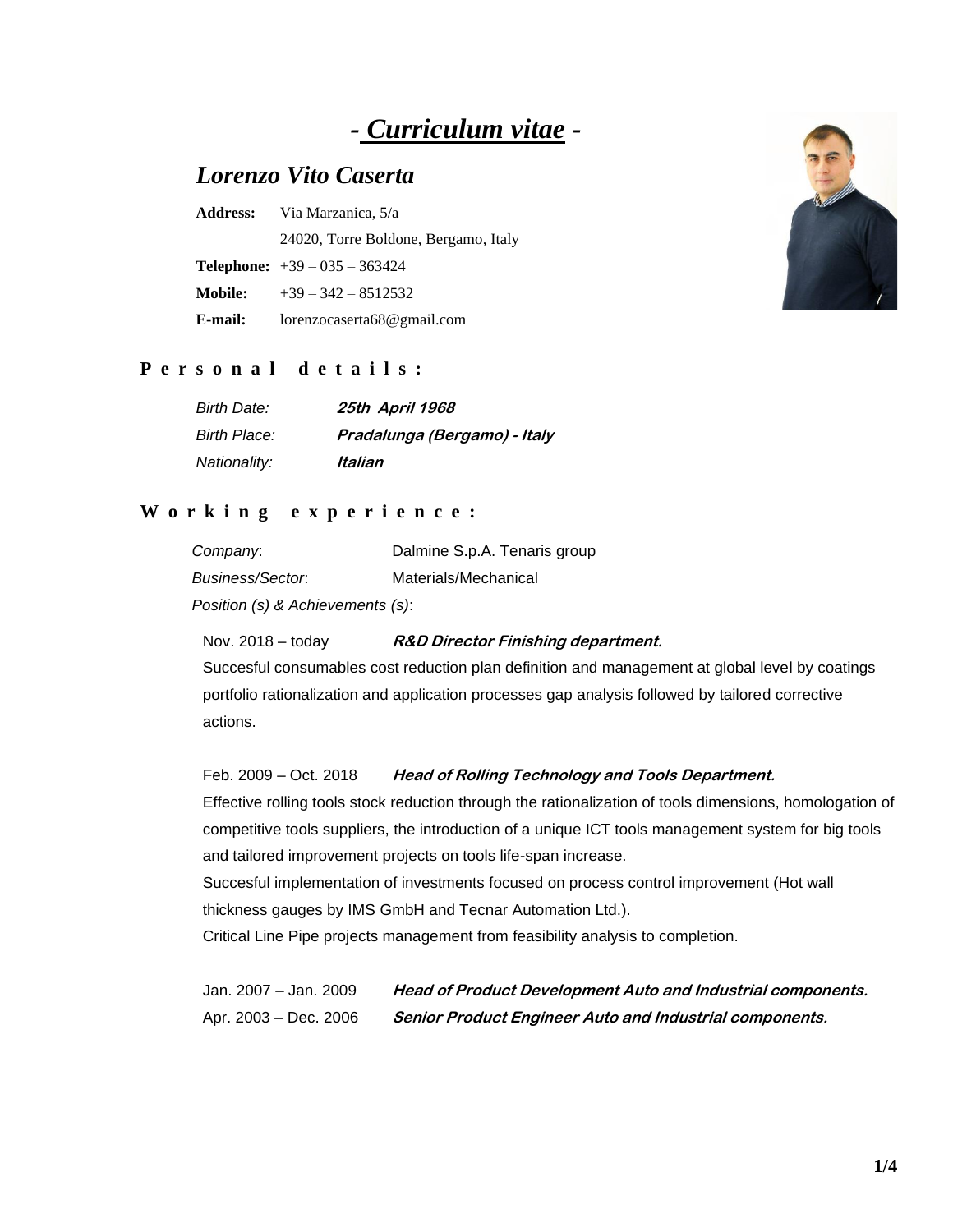# *- Curriculum vitae -*

# *Lorenzo Vito Caserta*

|                | <b>Address:</b> Via Marzanica, 5/a     |  |
|----------------|----------------------------------------|--|
|                | 24020, Torre Boldone, Bergamo, Italy   |  |
|                | <b>Telephone:</b> $+39 - 035 - 363424$ |  |
| <b>Mobile:</b> | $+39 - 342 - 8512532$                  |  |
| E-mail:        | lorenzocaserta68@gmail.com             |  |



## **P e r s o n a l d e t a i l s :**

| <b>Birth Date:</b> | 25th April 1968              |
|--------------------|------------------------------|
| Birth Place:       | Pradalunga (Bergamo) - Italy |
| Nationality:       | Italian                      |

### **W o r k i n g e x p e r i e n c e :**

| Company:                         | Dalmine S.p.A. Tenaris group |
|----------------------------------|------------------------------|
| Business/Sector.                 | Materials/Mechanical         |
| Position (s) & Achievements (s): |                              |

Nov. 2018 – today **R&D Director Finishing department.**

Succesful consumables cost reduction plan definition and management at global level by coatings portfolio rationalization and application processes gap analysis followed by tailored corrective actions.

#### Feb. 2009 – Oct. 2018 **Head of Rolling Technology and Tools Department.**

Effective rolling tools stock reduction through the rationalization of tools dimensions, homologation of competitive tools suppliers, the introduction of a unique ICT tools management system for big tools and tailored improvement projects on tools life-span increase.

Succesful implementation of investments focused on process control improvement (Hot wall thickness gauges by IMS GmbH and Tecnar Automation Ltd.).

Critical Line Pipe projects management from feasibility analysis to completion.

Jan. 2007 – Jan. 2009 **Head of Product Development Auto and Industrial components.** Apr. 2003 – Dec. 2006 **Senior Product Engineer Auto and Industrial components.**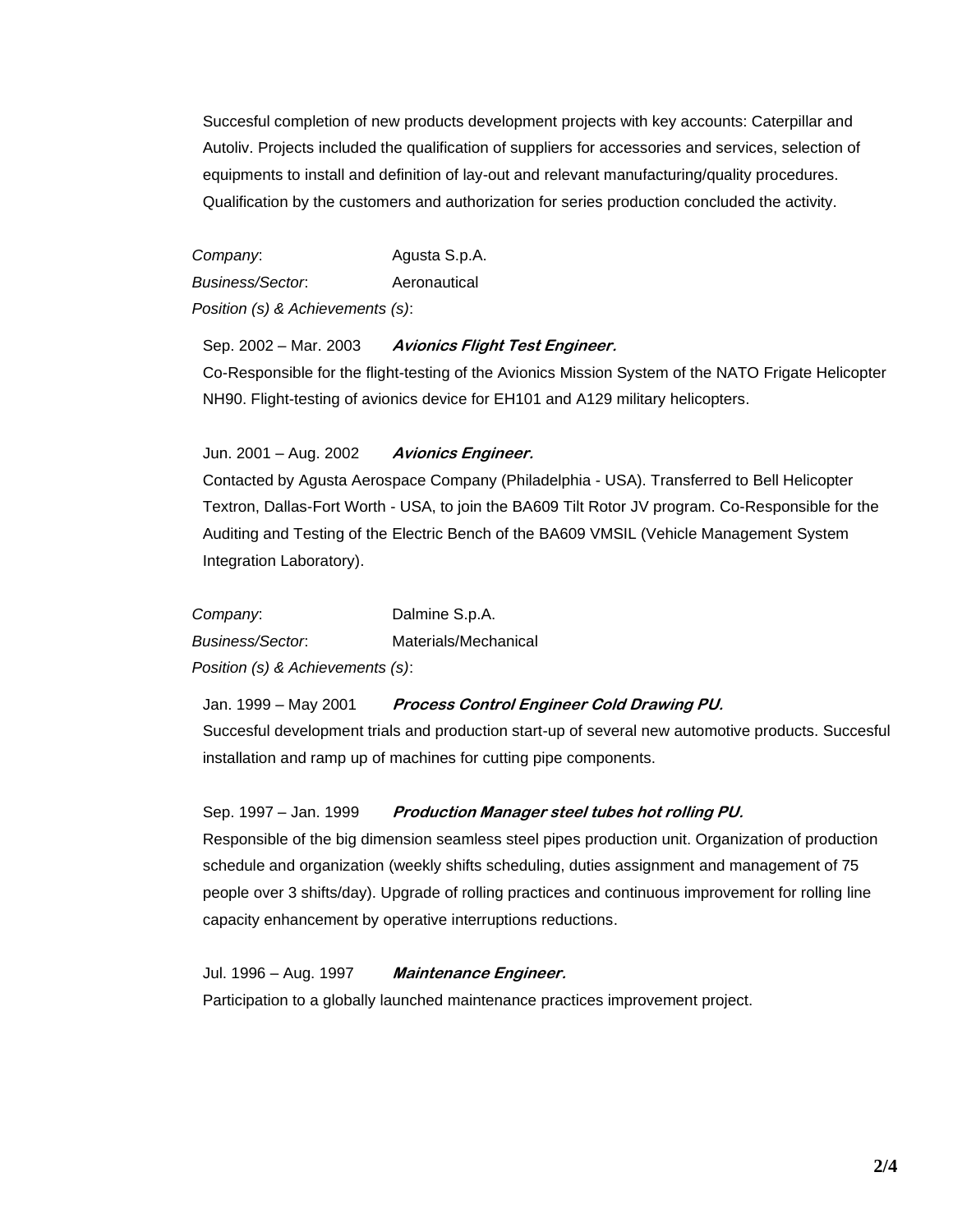Succesful completion of new products development projects with key accounts: Caterpillar and Autoliv. Projects included the qualification of suppliers for accessories and services, selection of equipments to install and definition of lay-out and relevant manufacturing/quality procedures. Qualification by the customers and authorization for series production concluded the activity.

*Company*: Agusta S.p.A. *Business/Sector*: Aeronautical *Position (s) & Achievements (s)*:

#### Sep. 2002 – Mar. 2003 **Avionics Flight Test Engineer.**

Co-Responsible for the flight-testing of the Avionics Mission System of the NATO Frigate Helicopter NH90. Flight-testing of avionics device for EH101 and A129 military helicopters.

#### Jun. 2001 – Aug. 2002 **Avionics Engineer.**

Contacted by Agusta Aerospace Company (Philadelphia - USA). Transferred to Bell Helicopter Textron, Dallas-Fort Worth - USA, to join the BA609 Tilt Rotor JV program. Co-Responsible for the Auditing and Testing of the Electric Bench of the BA609 VMSIL (Vehicle Management System Integration Laboratory).

*Company*: Dalmine S.p.A. *Business/Sector*: Materials/Mechanical *Position (s) & Achievements (s)*:

Jan. 1999 – May 2001 **Process Control Engineer Cold Drawing PU.** Succesful development trials and production start-up of several new automotive products. Succesful installation and ramp up of machines for cutting pipe components.

Sep. 1997 – Jan. 1999 Production Manager steel tubes hot rolling PU.

Responsible of the big dimension seamless steel pipes production unit. Organization of production schedule and organization (weekly shifts scheduling, duties assignment and management of 75 people over 3 shifts/day). Upgrade of rolling practices and continuous improvement for rolling line capacity enhancement by operative interruptions reductions.

Jul. 1996 – Aug. 1997 **Maintenance Engineer.** Participation to a globally launched maintenance practices improvement project.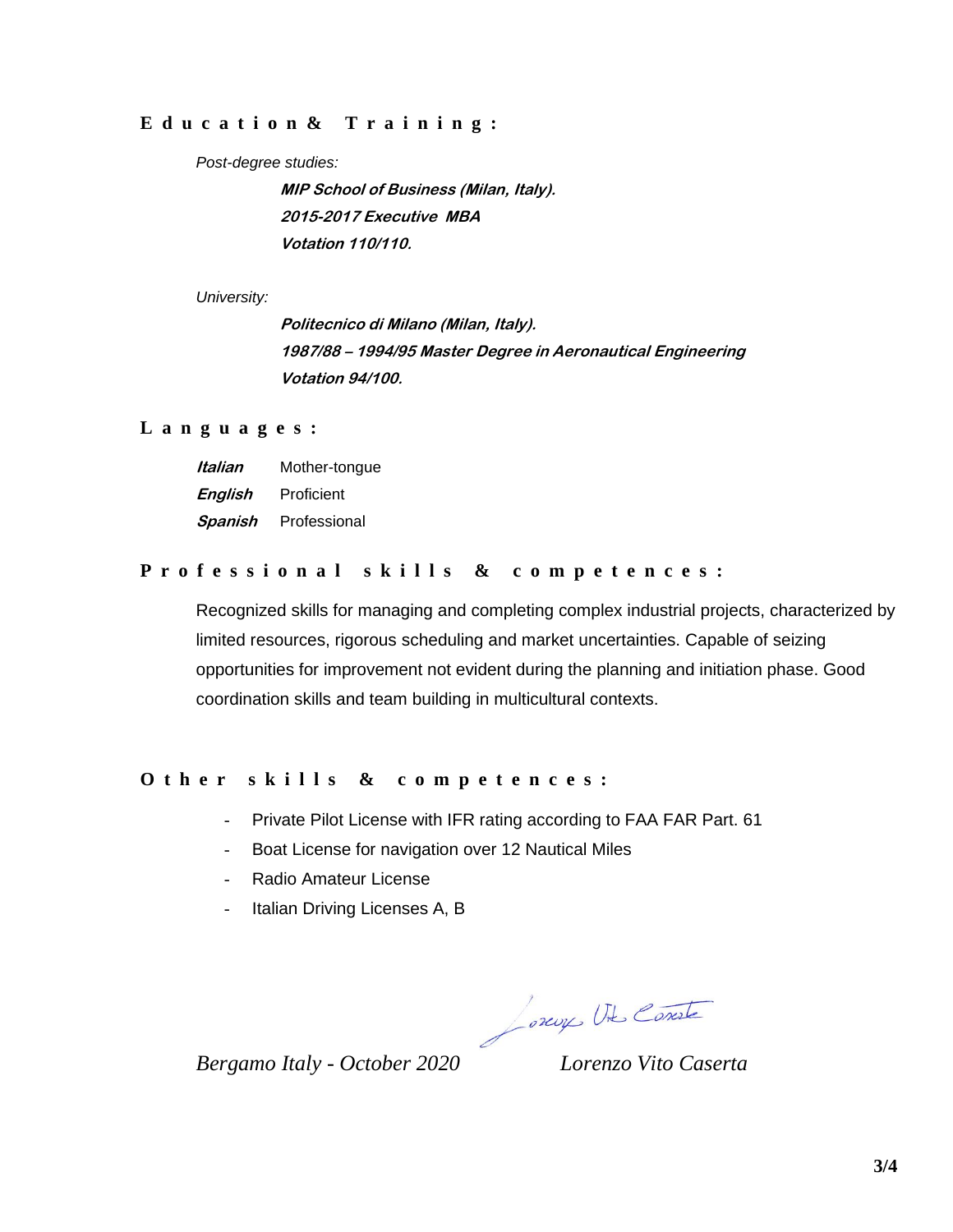#### **E d u c a t i o n & T r a i n i n g :**

#### *Post-degree studies:*

**MIP School of Business (Milan, Italy). 2015-2017 Executive MBA Votation 110/110.**

*University:* 

**Politecnico di Milano (Milan, Italy). 1987/88 – 1994/95 Master Degree in Aeronautical Engineering Votation 94/100.**

#### **L a n g u a g e s :**

| Italian | Mother-tongue |
|---------|---------------|
| English | Proficient    |
| Spanish | Professional  |

# **P r o f e s s i o n a l s k i l l s & c o m p e t e n c e s :**

Recognized skills for managing and completing complex industrial projects, characterized by limited resources, rigorous scheduling and market uncertainties. Capable of seizing opportunities for improvement not evident during the planning and initiation phase. Good coordination skills and team building in multicultural contexts.

#### **O t h e r s k i l l s & c o m p e t e n c e s :**

- Private Pilot License with IFR rating according to FAA FAR Part. 61
- Boat License for navigation over 12 Nautical Miles
- Radio Amateur License
- Italian Driving Licenses A, B

Jorcy Ut Conste

*Bergamo Italy - October 2020 Lorenzo Vito Caserta*